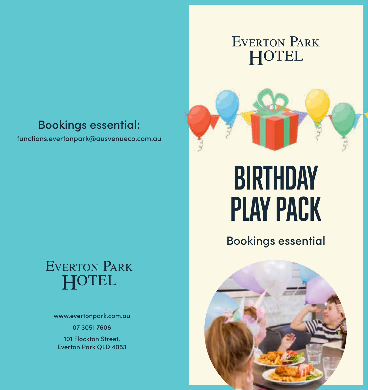### EVERTON PARK HOTEL

### Bookings essential:

functions.evertonpark@ausvenueco.com.au

# **EVERTON PARK** HOTEL

www.evertonpark.com.au 07 3051 7606

101 Flockton Street, Everton Park QLD 4053

# **BIRTHDAY PLAY PACK**

Bookings essential